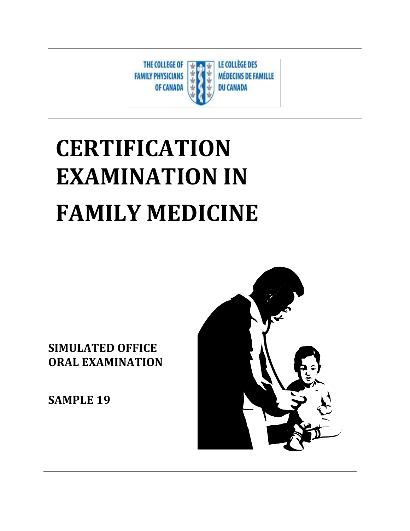

# **CERTIFICATION EXAMINATION IN FAMILY MEDICINE**

**SIMULATED OFFICE ORAL EXAMINATION** 

**SAMPLE 19**

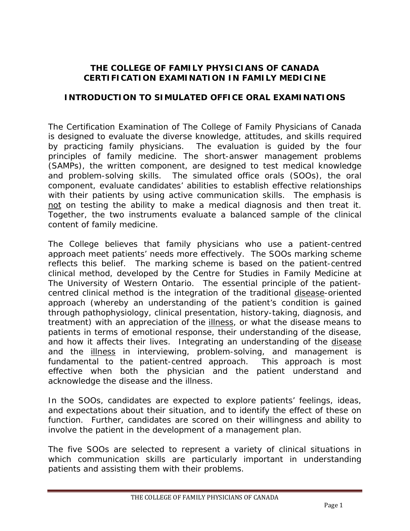#### **THE COLLEGE OF FAMILY PHYSICIANS OF CANADA CERTIFICATION EXAMINATION IN FAMILY MEDICINE**

#### **INTRODUCTION TO SIMULATED OFFICE ORAL EXAMINATIONS**

The Certification Examination of The College of Family Physicians of Canada is designed to evaluate the diverse knowledge, attitudes, and skills required by practicing family physicians. The evaluation is guided by the four principles of family medicine. The short-answer management problems (SAMPs), the written component, are designed to test medical knowledge and problem-solving skills. The simulated office orals (SOOs), the oral component, evaluate candidates' abilities to establish effective relationships with their patients by using active communication skills. The emphasis is not on testing the ability to make a medical diagnosis and then treat it. Together, the two instruments evaluate a balanced sample of the clinical content of family medicine.

The College believes that family physicians who use a patient-centred approach meet patients' needs more effectively. The SOOs marking scheme reflects this belief. The marking scheme is based on the patient-centred clinical method, developed by the Centre for Studies in Family Medicine at The University of Western Ontario. The essential principle of the patientcentred clinical method is the integration of the traditional disease-oriented approach (whereby an understanding of the patient's condition is gained through pathophysiology, clinical presentation, history-taking, diagnosis, and treatment) with an appreciation of the illness, or what the disease means to patients in terms of emotional response, their understanding of the disease, and how it affects their lives. Integrating an understanding of the disease and the illness in interviewing, problem-solving, and management is fundamental to the patient-centred approach. This approach is most effective when both the physician and the patient understand and acknowledge the disease and the illness.

In the SOOs, candidates are expected to explore patients' feelings, ideas, and expectations about their situation, and to identify the effect of these on function. Further, candidates are scored on their willingness and ability to involve the patient in the development of a management plan.

The five SOOs are selected to represent a variety of clinical situations in which communication skills are particularly important in understanding patients and assisting them with their problems.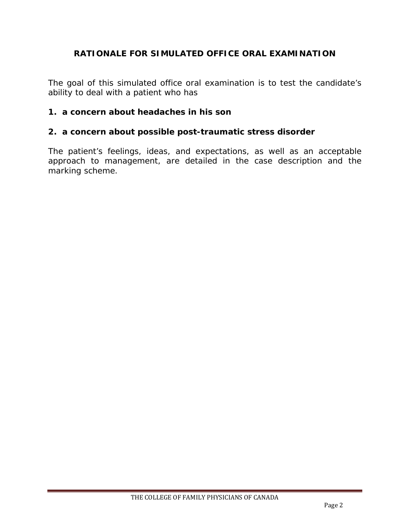#### **RATIONALE FOR SIMULATED OFFICE ORAL EXAMINATION**

The goal of this simulated office oral examination is to test the candidate's ability to deal with a patient who has

#### **1. a concern about headaches in his son**

#### **2. a concern about possible post-traumatic stress disorder**

The patient's feelings, ideas, and expectations, as well as an acceptable approach to management, are detailed in the case description and the marking scheme.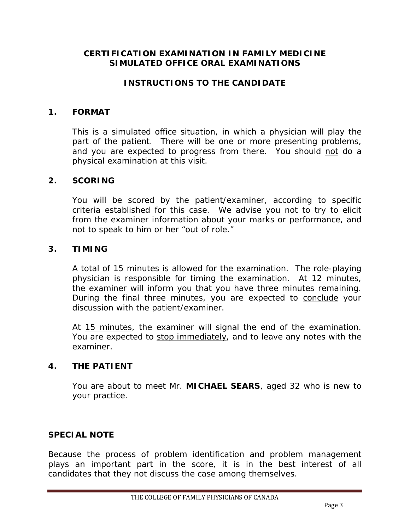#### **CERTIFICATION EXAMINATION IN FAMILY MEDICINE SIMULATED OFFICE ORAL EXAMINATIONS**

#### **INSTRUCTIONS TO THE CANDIDATE**

#### **1. FORMAT**

This is a simulated office situation, in which a physician will play the part of the patient. There will be one or more presenting problems, and you are expected to progress from there. You should not do a physical examination at this visit.

#### **2. SCORING**

You will be scored by the patient/examiner, according to specific criteria established for this case. We advise you not to try to elicit from the examiner information about your marks or performance, and not to speak to him or her "out of role."

#### **3. TIMING**

A total of 15 minutes is allowed for the examination. The role-playing physician is responsible for timing the examination. At 12 minutes, the examiner will inform you that you have three minutes remaining. During the final three minutes, you are expected to conclude your discussion with the patient/examiner.

At 15 minutes, the examiner will signal the end of the examination. You are expected to stop immediately, and to leave any notes with the examiner.

#### **4. THE PATIENT**

You are about to meet Mr. **MICHAEL SEARS**, aged 32 who is new to your practice.

#### **SPECIAL NOTE**

Because the process of problem identification and problem management plays an important part in the score, it is in the best interest of all candidates that they not discuss the case among themselves.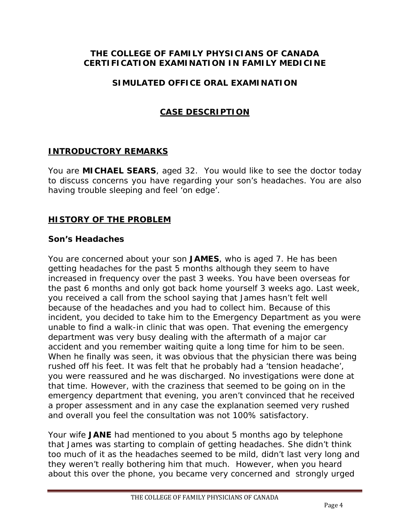#### **THE COLLEGE OF FAMILY PHYSICIANS OF CANADA CERTIFICATION EXAMINATION IN FAMILY MEDICINE**

#### **SIMULATED OFFICE ORAL EXAMINATION**

## **CASE DESCRIPTION**

#### **INTRODUCTORY REMARKS**

You are **MICHAEL SEARS**, aged 32. You would like to see the doctor today to discuss concerns you have regarding your son's headaches. You are also having trouble sleeping and feel 'on edge'.

#### **HISTORY OF THE PROBLEM**

#### **Son's Headaches**

You are concerned about your son **JAMES**, who is aged 7. He has been getting headaches for the past 5 months although they seem to have increased in frequency over the past 3 weeks. You have been overseas for the past 6 months and only got back home yourself 3 weeks ago. Last week, you received a call from the school saying that James hasn't felt well because of the headaches and you had to collect him. Because of this incident, you decided to take him to the Emergency Department as you were unable to find a walk-in clinic that was open. That evening the emergency department was very busy dealing with the aftermath of a major car accident and you remember waiting quite a long time for him to be seen. When he finally was seen, it was obvious that the physician there was being rushed off his feet. It was felt that he probably had a 'tension headache', you were reassured and he was discharged. No investigations were done at that time. However, with the craziness that seemed to be going on in the emergency department that evening, you aren't convinced that he received a proper assessment and in any case the explanation seemed very rushed and overall you feel the consultation was not 100% satisfactory.

Your wife **JANE** had mentioned to you about 5 months ago by telephone that James was starting to complain of getting headaches. She didn't think too much of it as the headaches seemed to be mild, didn't last very long and they weren't really bothering him that much. However, when you heard about this over the phone, you became very concerned and strongly urged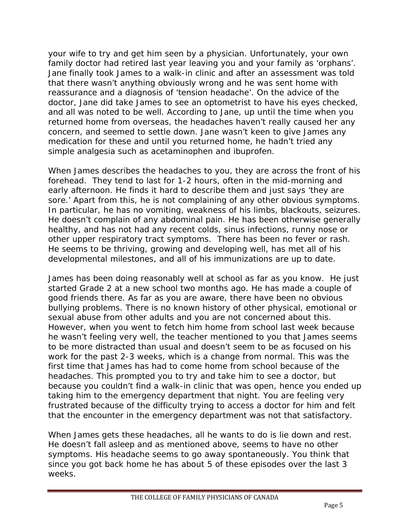your wife to try and get him seen by a physician. Unfortunately, your own family doctor had retired last year leaving you and your family as 'orphans'. Jane finally took James to a walk-in clinic and after an assessment was told that there wasn't anything obviously wrong and he was sent home with reassurance and a diagnosis of 'tension headache'. On the advice of the doctor, Jane did take James to see an optometrist to have his eyes checked, and all was noted to be well. According to Jane, up until the time when you returned home from overseas, the headaches haven't really caused her any concern, and seemed to settle down. Jane wasn't keen to give James any medication for these and until you returned home, he hadn't tried any simple analgesia such as acetaminophen and ibuprofen.

When James describes the headaches to you, they are across the front of his forehead. They tend to last for 1-2 hours, often in the mid-morning and early afternoon. He finds it hard to describe them and just says 'they are sore.' Apart from this, he is not complaining of any other obvious symptoms. In particular, he has no vomiting, weakness of his limbs, blackouts, seizures. He doesn't complain of any abdominal pain. He has been otherwise generally healthy, and has not had any recent colds, sinus infections, runny nose or other upper respiratory tract symptoms. There has been no fever or rash. He seems to be thriving, growing and developing well, has met all of his developmental milestones, and all of his immunizations are up to date.

James has been doing reasonably well at school as far as you know. He just started Grade 2 at a new school two months ago. He has made a couple of good friends there. As far as you are aware, there have been no obvious bullying problems. There is no known history of other physical, emotional or sexual abuse from other adults and you are not concerned about this. However, when you went to fetch him home from school last week because he wasn't feeling very well, the teacher mentioned to you that James seems to be more distracted than usual and doesn't seem to be as focused on his work for the past 2-3 weeks, which is a change from normal. This was the first time that James has had to come home from school because of the headaches. This prompted you to try and take him to see a doctor, but because you couldn't find a walk-in clinic that was open, hence you ended up taking him to the emergency department that night. You are feeling very frustrated because of the difficulty trying to access a doctor for him and felt that the encounter in the emergency department was not that satisfactory.

When James gets these headaches, all he wants to do is lie down and rest. He doesn't fall asleep and as mentioned above, seems to have no other symptoms. His headache seems to go away spontaneously. You think that since you got back home he has about 5 of these episodes over the last 3 weeks.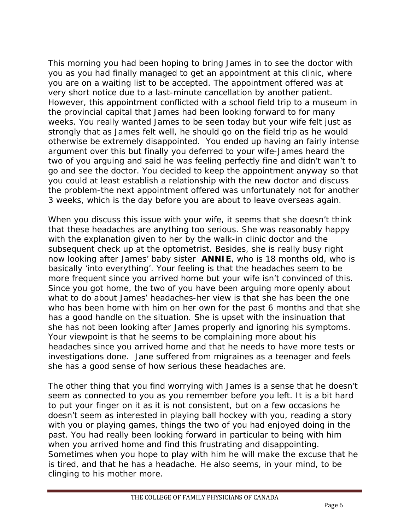This morning you had been hoping to bring James in to see the doctor with you as you had finally managed to get an appointment at this clinic, where you are on a waiting list to be accepted. The appointment offered was at very short notice due to a last-minute cancellation by another patient. However, this appointment conflicted with a school field trip to a museum in the provincial capital that James had been looking forward to for many weeks. You really wanted James to be seen today but your wife felt just as strongly that as James felt well, he should go on the field trip as he would otherwise be extremely disappointed. You ended up having an fairly intense argument over this but finally you deferred to your wife-James heard the two of you arguing and said he was feeling perfectly fine and didn't wan't to go and see the doctor. You decided to keep the appointment anyway so that you could at least establish a relationship with the new doctor and discuss the problem-the next appointment offered was unfortunately not for another 3 weeks, which is the day before you are about to leave overseas again.

When you discuss this issue with your wife, it seems that she doesn't think that these headaches are anything too serious. She was reasonably happy with the explanation given to her by the walk-in clinic doctor and the subsequent check up at the optometrist. Besides, she is really busy right now looking after James' baby sister **ANNIE**, who is 18 months old, who is basically 'into everything'. Your feeling is that the headaches seem to be more frequent since you arrived home but your wife isn't convinced of this. Since you got home, the two of you have been arguing more openly about what to do about James' headaches-her view is that she has been the one who has been home with him on her own for the past 6 months and that she has a good handle on the situation. She is upset with the insinuation that she has not been looking after James properly and ignoring his symptoms. Your viewpoint is that he seems to be complaining more about his headaches since you arrived home and that he needs to have more tests or investigations done. Jane suffered from migraines as a teenager and feels she has a good sense of how serious these headaches are.

The other thing that you find worrying with James is a sense that he doesn't seem as connected to you as you remember before you left. It is a bit hard to put your finger on it as it is not consistent, but on a few occasions he doesn't seem as interested in playing ball hockey with you, reading a story with you or playing games, things the two of you had enjoyed doing in the past. You had really been looking forward in particular to being with him when you arrived home and find this frustrating and disappointing. Sometimes when you hope to play with him he will make the excuse that he is tired, and that he has a headache. He also seems, in your mind, to be clinging to his mother more.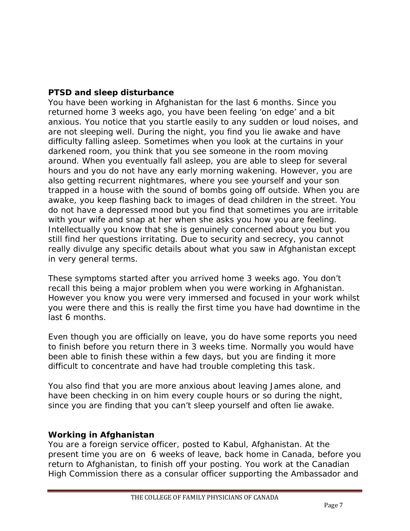#### **PTSD and sleep disturbance**

You have been working in Afghanistan for the last 6 months. Since you returned home 3 weeks ago, you have been feeling 'on edge' and a bit anxious. You notice that you startle easily to any sudden or loud noises, and are not sleeping well. During the night, you find you lie awake and have difficulty falling asleep. Sometimes when you look at the curtains in your darkened room, you think that you see someone in the room moving around. When you eventually fall asleep, you are able to sleep for several hours and you do not have any early morning wakening. However, you are also getting recurrent nightmares, where you see yourself and your son trapped in a house with the sound of bombs going off outside. When you are awake, you keep flashing back to images of dead children in the street. You do not have a depressed mood but you find that sometimes you are irritable with your wife and snap at her when she asks you how you are feeling. Intellectually you know that she is genuinely concerned about you but you still find her questions irritating. Due to security and secrecy, you cannot really divulge any specific details about what you saw in Afghanistan except in very general terms.

These symptoms started after you arrived home 3 weeks ago. You don't recall this being a major problem when you were working in Afghanistan. However you know you were very immersed and focused in your work whilst you were there and this is really the first time you have had downtime in the last 6 months.

Even though you are officially on leave, you do have some reports you need to finish before you return there in 3 weeks time. Normally you would have been able to finish these within a few days, but you are finding it more difficult to concentrate and have had trouble completing this task.

You also find that you are more anxious about leaving James alone, and have been checking in on him every couple hours or so during the night, since you are finding that you can't sleep yourself and often lie awake.

## **Working in Afghanistan**

You are a foreign service officer, posted to Kabul, Afghanistan. At the present time you are on 6 weeks of leave, back home in Canada, before you return to Afghanistan, to finish off your posting. You work at the Canadian High Commission there as a consular officer supporting the Ambassador and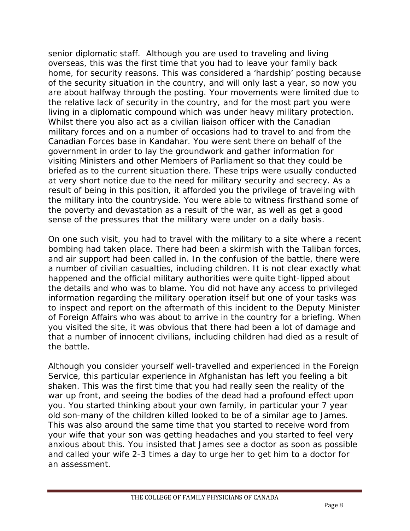senior diplomatic staff. Although you are used to traveling and living overseas, this was the first time that you had to leave your family back home, for security reasons. This was considered a 'hardship' posting because of the security situation in the country, and will only last a year, so now you are about halfway through the posting. Your movements were limited due to the relative lack of security in the country, and for the most part you were living in a diplomatic compound which was under heavy military protection. Whilst there you also act as a civilian liaison officer with the Canadian military forces and on a number of occasions had to travel to and from the Canadian Forces base in Kandahar. You were sent there on behalf of the government in order to lay the groundwork and gather information for visiting Ministers and other Members of Parliament so that they could be briefed as to the current situation there. These trips were usually conducted at very short notice due to the need for military security and secrecy. As a result of being in this position, it afforded you the privilege of traveling with the military into the countryside. You were able to witness firsthand some of the poverty and devastation as a result of the war, as well as get a good sense of the pressures that the military were under on a daily basis.

On one such visit, you had to travel with the military to a site where a recent bombing had taken place. There had been a skirmish with the Taliban forces, and air support had been called in. In the confusion of the battle, there were a number of civilian casualties, including children. It is not clear exactly what happened and the official military authorities were quite tight-lipped about the details and who was to blame. You did not have any access to privileged information regarding the military operation itself but one of your tasks was to inspect and report on the aftermath of this incident to the Deputy Minister of Foreign Affairs who was about to arrive in the country for a briefing. When you visited the site, it was obvious that there had been a lot of damage and that a number of innocent civilians, including children had died as a result of the battle.

Although you consider yourself well-travelled and experienced in the Foreign Service, this particular experience in Afghanistan has left you feeling a bit shaken. This was the first time that you had really seen the reality of the war up front, and seeing the bodies of the dead had a profound effect upon you. You started thinking about your own family, in particular your 7 year old son-many of the children killed looked to be of a similar age to James. This was also around the same time that you started to receive word from your wife that your son was getting headaches and you started to feel very anxious about this. You insisted that James see a doctor as soon as possible and called your wife 2-3 times a day to urge her to get him to a doctor for an assessment.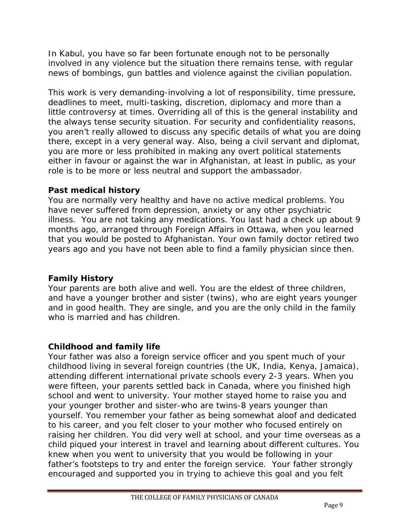In Kabul, you have so far been fortunate enough not to be personally involved in any violence but the situation there remains tense, with regular news of bombings, gun battles and violence against the civilian population.

This work is very demanding-involving a lot of responsibility, time pressure, deadlines to meet, multi-tasking, discretion, diplomacy and more than a little controversy at times. Overriding all of this is the general instability and the always tense security situation. For security and confidentiality reasons, you aren't really allowed to discuss any specific details of what you are doing there, except in a very general way. Also, being a civil servant and diplomat, you are more or less prohibited in making any overt political statements either in favour or against the war in Afghanistan, at least in public, as your role is to be more or less neutral and support the ambassador.

#### **Past medical history**

You are normally very healthy and have no active medical problems. You have never suffered from depression, anxiety or any other psychiatric illness. You are not taking any medications. You last had a check up about 9 months ago, arranged through Foreign Affairs in Ottawa, when you learned that you would be posted to Afghanistan. Your own family doctor retired two years ago and you have not been able to find a family physician since then.

## **Family History**

Your parents are both alive and well. You are the eldest of three children, and have a younger brother and sister (twins), who are eight years younger and in good health. They are single, and you are the only child in the family who is married and has children.

## **Childhood and family life**

Your father was also a foreign service officer and you spent much of your childhood living in several foreign countries (the UK, India, Kenya, Jamaica), attending different international private schools every 2-3 years. When you were fifteen, your parents settled back in Canada, where you finished high school and went to university. Your mother stayed home to raise you and your younger brother and sister-who are twins-8 years younger than yourself. You remember your father as being somewhat aloof and dedicated to his career, and you felt closer to your mother who focused entirely on raising her children. You did very well at school, and your time overseas as a child piqued your interest in travel and learning about different cultures. You knew when you went to university that you would be following in your father's footsteps to try and enter the foreign service. Your father strongly encouraged and supported you in trying to achieve this goal and you felt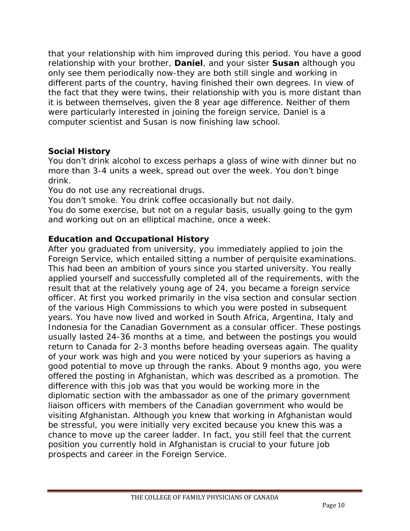that your relationship with him improved during this period. You have a good relationship with your brother, **Daniel**, and your sister **Susan** although you only see them periodically now-they are both still single and working in different parts of the country, having finished their own degrees. In view of the fact that they were twins, their relationship with you is more distant than it is between themselves, given the 8 year age difference. Neither of them were particularly interested in joining the foreign service, Daniel is a computer scientist and Susan is now finishing law school.

## **Social History**

You don't drink alcohol to excess perhaps a glass of wine with dinner but no more than 3-4 units a week, spread out over the week. You don't binge drink.

You do not use any recreational drugs.

You don't smoke. You drink coffee occasionally but not daily.

You do some exercise, but not on a regular basis, usually going to the gym and working out on an elliptical machine, once a week.

## **Education and Occupational History**

After you graduated from university, you immediately applied to join the Foreign Service, which entailed sitting a number of perquisite examinations. This had been an ambition of yours since you started university. You really applied yourself and successfully completed all of the requirements, with the result that at the relatively young age of 24, you became a foreign service officer. At first you worked primarily in the visa section and consular section of the various High Commissions to which you were posted in subsequent years. You have now lived and worked in South Africa, Argentina, Italy and Indonesia for the Canadian Government as a consular officer. These postings usually lasted 24-36 months at a time, and between the postings you would return to Canada for 2-3 months before heading overseas again. The quality of your work was high and you were noticed by your superiors as having a good potential to move up through the ranks. About 9 months ago, you were offered the posting in Afghanistan, which was described as a promotion. The difference with this job was that you would be working more in the diplomatic section with the ambassador as one of the primary government liaison officers with members of the Canadian government who would be visiting Afghanistan. Although you knew that working in Afghanistan would be stressful, you were initially very excited because you knew this was a chance to move up the career ladder. In fact, you still feel that the current position you currently hold in Afghanistan is crucial to your future job prospects and career in the Foreign Service.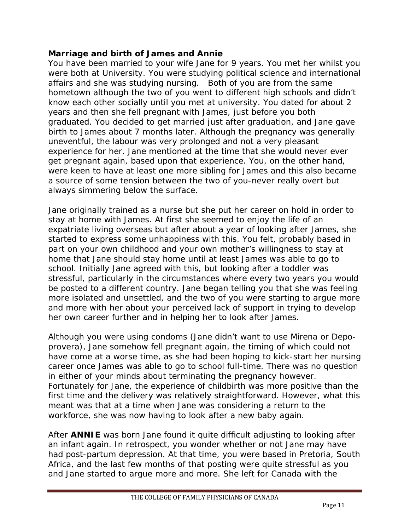#### **Marriage and birth of James and Annie**

You have been married to your wife Jane for 9 years. You met her whilst you were both at University. You were studying political science and international affairs and she was studying nursing. Both of you are from the same hometown although the two of you went to different high schools and didn't know each other socially until you met at university. You dated for about 2 years and then she fell pregnant with James, just before you both graduated. You decided to get married just after graduation, and Jane gave birth to James about 7 months later. Although the pregnancy was generally uneventful, the labour was very prolonged and not a very pleasant experience for her. Jane mentioned at the time that she would never ever get pregnant again, based upon that experience. You, on the other hand, were keen to have at least one more sibling for James and this also became a source of some tension between the two of you-never really overt but always simmering below the surface.

Jane originally trained as a nurse but she put her career on hold in order to stay at home with James. At first she seemed to enjoy the life of an expatriate living overseas but after about a year of looking after James, she started to express some unhappiness with this. You felt, probably based in part on your own childhood and your own mother's willingness to stay at home that Jane should stay home until at least James was able to go to school. Initially Jane agreed with this, but looking after a toddler was stressful, particularly in the circumstances where every two years you would be posted to a different country. Jane began telling you that she was feeling more isolated and unsettled, and the two of you were starting to argue more and more with her about your perceived lack of support in trying to develop her own career further and in helping her to look after James.

Although you were using condoms (Jane didn't want to use Mirena or Depoprovera), Jane somehow fell pregnant again, the timing of which could not have come at a worse time, as she had been hoping to kick-start her nursing career once James was able to go to school full-time. There was no question in either of your minds about terminating the pregnancy however. Fortunately for Jane, the experience of childbirth was more positive than the first time and the delivery was relatively straightforward. However, what this meant was that at a time when Jane was considering a return to the workforce, she was now having to look after a new baby again.

After **ANNIE** was born Jane found it quite difficult adjusting to looking after an infant again. In retrospect, you wonder whether or not Jane may have had post-partum depression. At that time, you were based in Pretoria, South Africa, and the last few months of that posting were quite stressful as you and Jane started to argue more and more. She left for Canada with the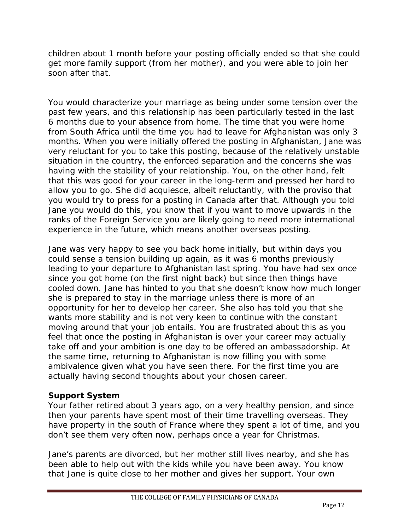children about 1 month before your posting officially ended so that she could get more family support (from her mother), and you were able to join her soon after that.

You would characterize your marriage as being under some tension over the past few years, and this relationship has been particularly tested in the last 6 months due to your absence from home. The time that you were home from South Africa until the time you had to leave for Afghanistan was only 3 months. When you were initially offered the posting in Afghanistan, Jane was very reluctant for you to take this posting, because of the relatively unstable situation in the country, the enforced separation and the concerns she was having with the stability of your relationship. You, on the other hand, felt that this was good for your career in the long-term and pressed her hard to allow you to go. She did acquiesce, albeit reluctantly, with the proviso that you would try to press for a posting in Canada after that. Although you told Jane you would do this, you know that if you want to move upwards in the ranks of the Foreign Service you are likely going to need more international experience in the future, which means another overseas posting.

Jane was very happy to see you back home initially, but within days you could sense a tension building up again, as it was 6 months previously leading to your departure to Afghanistan last spring. You have had sex once since you got home (on the first night back) but since then things have cooled down. Jane has hinted to you that she doesn't know how much longer she is prepared to stay in the marriage unless there is more of an opportunity for her to develop her career. She also has told you that she wants more stability and is not very keen to continue with the constant moving around that your job entails. You are frustrated about this as you feel that once the posting in Afghanistan is over your career may actually take off and your ambition is one day to be offered an ambassadorship. At the same time, returning to Afghanistan is now filling you with some ambivalence given what you have seen there. For the first time you are actually having second thoughts about your chosen career.

## **Support System**

Your father retired about 3 years ago, on a very healthy pension, and since then your parents have spent most of their time travelling overseas. They have property in the south of France where they spent a lot of time, and you don't see them very often now, perhaps once a year for Christmas.

Jane's parents are divorced, but her mother still lives nearby, and she has been able to help out with the kids while you have been away. You know that Jane is quite close to her mother and gives her support. Your own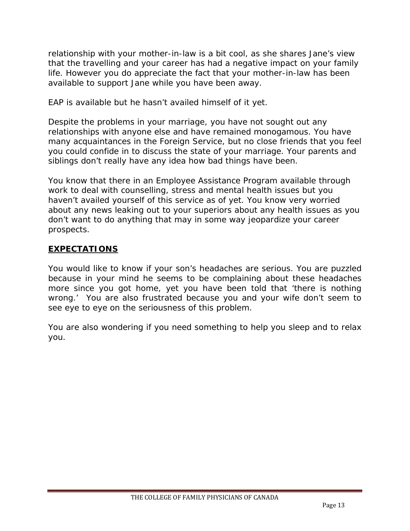relationship with your mother-in-law is a bit cool, as she shares Jane's view that the travelling and your career has had a negative impact on your family life. However you do appreciate the fact that your mother-in-law has been available to support Jane while you have been away.

EAP is available but he hasn't availed himself of it yet.

Despite the problems in your marriage, you have not sought out any relationships with anyone else and have remained monogamous. You have many acquaintances in the Foreign Service, but no close friends that you feel you could confide in to discuss the state of your marriage. Your parents and siblings don't really have any idea how bad things have been.

You know that there in an Employee Assistance Program available through work to deal with counselling, stress and mental health issues but you haven't availed yourself of this service as of yet. You know very worried about any news leaking out to your superiors about any health issues as you don't want to do anything that may in some way jeopardize your career prospects.

## **EXPECTATIONS**

You would like to know if your son's headaches are serious. You are puzzled because in your mind he seems to be complaining about these headaches more since you got home, yet you have been told that 'there is nothing wrong.' You are also frustrated because you and your wife don't seem to see eye to eye on the seriousness of this problem.

You are also wondering if you need something to help you sleep and to relax you.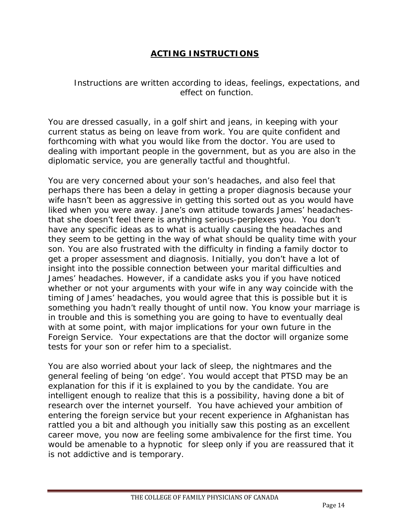## **ACTING INSTRUCTIONS**

*Instructions are written according to ideas, feelings, expectations, and effect on function.*

You are dressed casually, in a golf shirt and jeans, in keeping with your current status as being on leave from work. You are quite confident and forthcoming with what you would like from the doctor. You are used to dealing with important people in the government, but as you are also in the diplomatic service, you are generally tactful and thoughtful.

You are very concerned about your son's headaches, and also feel that perhaps there has been a delay in getting a proper diagnosis because your wife hasn't been as aggressive in getting this sorted out as you would have liked when you were away. Jane's own attitude towards James' headachesthat she doesn't feel there is anything serious-perplexes you. You don't have any specific ideas as to what is actually causing the headaches and they seem to be getting in the way of what should be quality time with your son. You are also frustrated with the difficulty in finding a family doctor to get a proper assessment and diagnosis. Initially, you don't have a lot of insight into the possible connection between your marital difficulties and James' headaches. However, if a candidate asks you if you have noticed whether or not your arguments with your wife in any way coincide with the timing of James' headaches, you would agree that this is possible but it is something you hadn't really thought of until now. You know your marriage is in trouble and this is something you are going to have to eventually deal with at some point, with major implications for your own future in the Foreign Service. Your expectations are that the doctor will organize some tests for your son or refer him to a specialist.

You are also worried about your lack of sleep, the nightmares and the general feeling of being 'on edge'. You would accept that PTSD may be an explanation for this if it is explained to you by the candidate. You are intelligent enough to realize that this is a possibility, having done a bit of research over the internet yourself. You have achieved your ambition of entering the foreign service but your recent experience in Afghanistan has rattled you a bit and although you initially saw this posting as an excellent career move, you now are feeling some ambivalence for the first time. You would be amenable to a hypnotic for sleep only if you are reassured that it is not addictive and is temporary.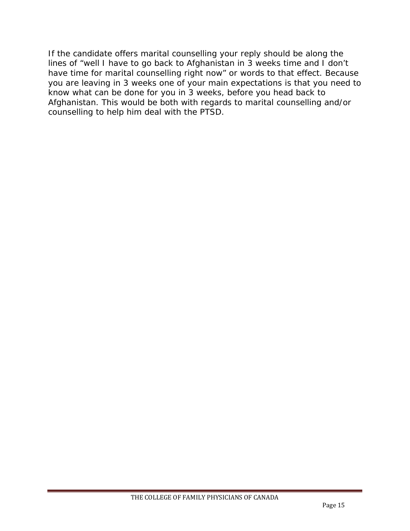If the candidate offers marital counselling your reply should be along the lines of "well I have to go back to Afghanistan in 3 weeks time and I don't have time for marital counselling right now" or words to that effect. Because you are leaving in 3 weeks one of your main expectations is that you need to know what can be done for you in 3 weeks, before you head back to Afghanistan. This would be both with regards to marital counselling and/or counselling to help him deal with the PTSD.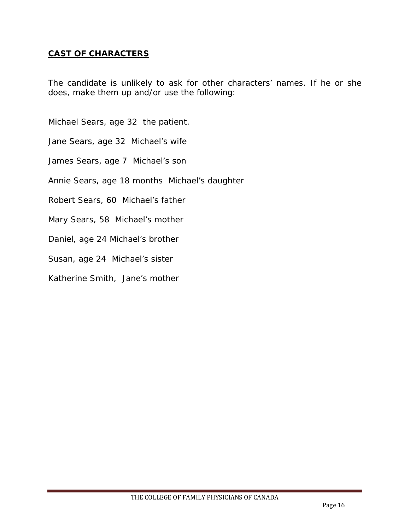#### **CAST OF CHARACTERS**

*The candidate is unlikely to ask for other characters' names. If he or she does, make them up and/or use the following:*

Michael Sears, age 32 the patient.

Jane Sears, age 32 Michael's wife

James Sears, age 7 Michael's son

Annie Sears, age 18 months Michael's daughter

Robert Sears, 60 Michael's father

Mary Sears, 58 Michael's mother

Daniel, age 24 Michael's brother

Susan, age 24 Michael's sister

Katherine Smith, Jane's mother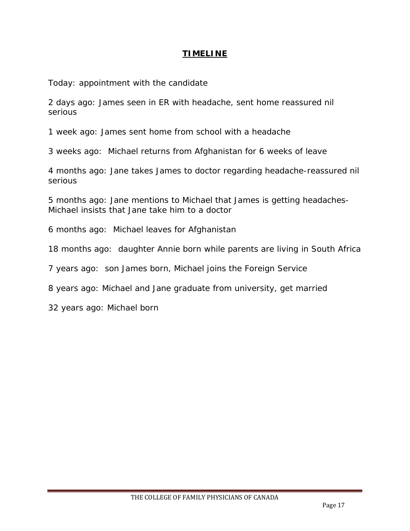#### **TIMELINE**

Today: appointment with the candidate

2 days ago: James seen in ER with headache, sent home reassured nil serious

1 week ago: James sent home from school with a headache

3 weeks ago: Michael returns from Afghanistan for 6 weeks of leave

4 months ago: Jane takes James to doctor regarding headache-reassured nil serious

5 months ago: Jane mentions to Michael that James is getting headaches-Michael insists that Jane take him to a doctor

6 months ago: Michael leaves for Afghanistan

18 months ago: daughter Annie born while parents are living in South Africa

7 years ago: son James born, Michael joins the Foreign Service

8 years ago: Michael and Jane graduate from university, get married

32 years ago: Michael born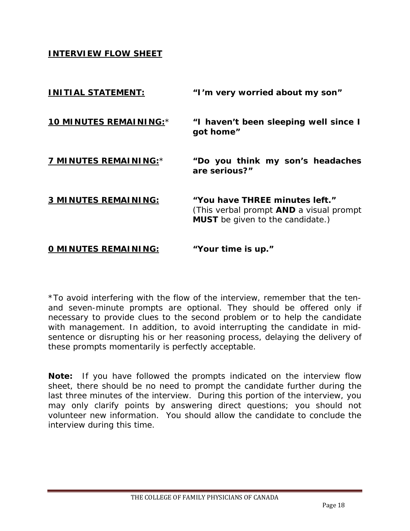**INTERVIEW FLOW SHEET**

| <b>INITIAL STATEMENT:</b>   | "I'm very worried about my son"                                                                                             |
|-----------------------------|-----------------------------------------------------------------------------------------------------------------------------|
| 10 MINUTES REMAINING:*      | "I haven't been sleeping well since I<br>got home"                                                                          |
| 7 MINUTES REMAINING:*       | "Do you think my son's headaches<br>are serious?"                                                                           |
| 3 MINUTES REMAINING:        | "You have THREE minutes left."<br>(This verbal prompt <b>AND</b> a visual prompt<br><b>MUST</b> be given to the candidate.) |
| <b>O MINUTES REMAINING:</b> | "Your time is up."                                                                                                          |

\*To avoid interfering with the flow of the interview, remember that the tenand seven-minute prompts are optional. They should be offered only if necessary to provide clues to the second problem or to help the candidate with management. In addition, to avoid interrupting the candidate in midsentence or disrupting his or her reasoning process, delaying the delivery of these prompts momentarily is perfectly acceptable.

**Note:** If you have followed the prompts indicated on the interview flow sheet, there should be no need to prompt the candidate further during the last three minutes of the interview. During this portion of the interview, you may only clarify points by answering direct questions; you should not volunteer new information. You should allow the candidate to conclude the interview during this time.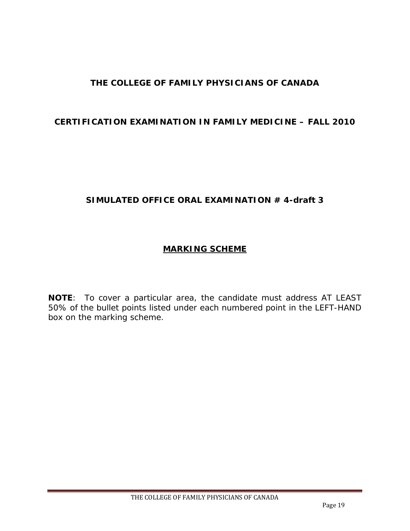## **THE COLLEGE OF FAMILY PHYSICIANS OF CANADA**

#### **CERTIFICATION EXAMINATION IN FAMILY MEDICINE – FALL 2010**

#### **SIMULATED OFFICE ORAL EXAMINATION # 4-draft 3**

#### **MARKING SCHEME**

**NOTE**: To cover a particular area, the candidate must address AT LEAST 50% of the bullet points listed under each numbered point in the LEFT-HAND box on the marking scheme.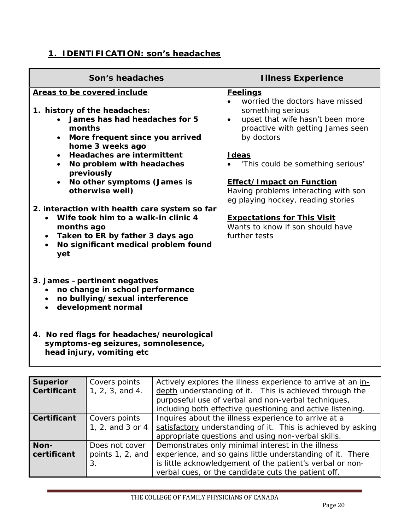# **1. IDENTIFICATION: son's headaches**

| Son's headaches                                                                                                                                                                                                                                                                                              | <b>Illness Experience</b>                                                                                                                                                                                                                                                                                     |
|--------------------------------------------------------------------------------------------------------------------------------------------------------------------------------------------------------------------------------------------------------------------------------------------------------------|---------------------------------------------------------------------------------------------------------------------------------------------------------------------------------------------------------------------------------------------------------------------------------------------------------------|
| Areas to be covered include<br>1. history of the headaches:<br>James has had headaches for 5<br>months<br>More frequent since you arrived<br>home 3 weeks ago<br><b>Headaches are intermittent</b><br>$\bullet$<br>No problem with headaches<br>previously<br>No other symptoms (James is<br>otherwise well) | <b>Feelings</b><br>worried the doctors have missed<br>something serious<br>upset that wife hasn't been more<br>$\bullet$<br>proactive with getting James seen<br>by doctors<br><b>I</b> deas<br>'This could be something serious'<br><b>Effect/Impact on Function</b><br>Having problems interacting with son |
| 2. interaction with health care system so far<br>Wife took him to a walk-in clinic 4<br>months ago<br>Taken to ER by father 3 days ago<br>$\bullet$<br>No significant medical problem found<br>yet                                                                                                           | eg playing hockey, reading stories<br><b>Expectations for This Visit</b><br>Wants to know if son should have<br>further tests                                                                                                                                                                                 |
| 3. James - pertinent negatives<br>no change in school performance<br>$\bullet$<br>no bullying/sexual interference<br>development normal<br>$\bullet$                                                                                                                                                         |                                                                                                                                                                                                                                                                                                               |
| 4. No red flags for headaches/neurological<br>symptoms-eg seizures, somnolesence,<br>head injury, vomiting etc                                                                                                                                                                                               |                                                                                                                                                                                                                                                                                                               |

| <b>Superior</b><br><b>Certificant</b> | Covers points<br>1, 2, 3, and 4.         | Actively explores the illness experience to arrive at an in-<br>depth understanding of it. This is achieved through the<br>purposeful use of verbal and non-verbal techniques,<br>including both effective questioning and active listening. |
|---------------------------------------|------------------------------------------|----------------------------------------------------------------------------------------------------------------------------------------------------------------------------------------------------------------------------------------------|
| <b>Certificant</b>                    | Covers points<br>1, 2, and 3 or 4        | Inquires about the illness experience to arrive at a<br>satisfactory understanding of it. This is achieved by asking<br>appropriate questions and using non-verbal skills.                                                                   |
| Non-<br>certificant                   | Does not cover<br>points 1, 2, and<br>3. | Demonstrates only minimal interest in the illness<br>experience, and so gains little understanding of it. There<br>is little acknowledgement of the patient's verbal or non-<br>verbal cues, or the candidate cuts the patient off.          |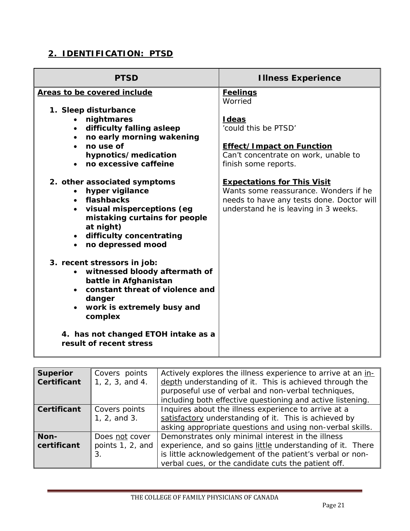## **2. IDENTIFICATION: PTSD**

| <b>PTSD</b>                                                                                                                                                                                                  | <b>Illness Experience</b>                                                                                                                                        |
|--------------------------------------------------------------------------------------------------------------------------------------------------------------------------------------------------------------|------------------------------------------------------------------------------------------------------------------------------------------------------------------|
| Areas to be covered include                                                                                                                                                                                  | <b>Feelings</b><br>Worried                                                                                                                                       |
| 1. Sleep disturbance<br>nightmares<br>$\bullet$<br>• difficulty falling asleep                                                                                                                               | <b>I</b> deas<br>'could this be PTSD'                                                                                                                            |
| no early morning wakening<br>$\bullet$<br>no use of<br>$\bullet$<br>hypnotics/medication<br>no excessive caffeine                                                                                            | <b>Effect/Impact on Function</b><br>Can't concentrate on work, unable to<br>finish some reports.                                                                 |
| 2. other associated symptoms<br>hyper vigilance<br>$\bullet$<br>• flashbacks<br>· visual misperceptions (eg<br>mistaking curtains for people<br>at night)<br>• difficulty concentrating<br>no depressed mood | <b>Expectations for This Visit</b><br>Wants some reassurance. Wonders if he<br>needs to have any tests done. Doctor will<br>understand he is leaving in 3 weeks. |
| 3. recent stressors in job:<br>witnessed bloody aftermath of<br>battle in Afghanistan<br>• constant threat of violence and<br>danger<br>work is extremely busy and<br>$\bullet$<br>complex                   |                                                                                                                                                                  |
| 4. has not changed ETOH intake as a<br>result of recent stress                                                                                                                                               |                                                                                                                                                                  |

| <b>Superior</b><br><b>Certificant</b> | Covers points<br>1, 2, 3, and 4.         | Actively explores the illness experience to arrive at an in-<br>depth understanding of it. This is achieved through the<br>purposeful use of verbal and non-verbal techniques,<br>including both effective questioning and active listening. |
|---------------------------------------|------------------------------------------|----------------------------------------------------------------------------------------------------------------------------------------------------------------------------------------------------------------------------------------------|
| <b>Certificant</b>                    | Covers points<br>1, 2, and 3.            | Inquires about the illness experience to arrive at a<br>satisfactory understanding of it. This is achieved by<br>asking appropriate questions and using non-verbal skills.                                                                   |
| Non-<br>certificant                   | Does not cover<br>points 1, 2, and<br>3. | Demonstrates only minimal interest in the illness<br>experience, and so gains little understanding of it. There<br>is little acknowledgement of the patient's verbal or non-<br>verbal cues, or the candidate cuts the patient off.          |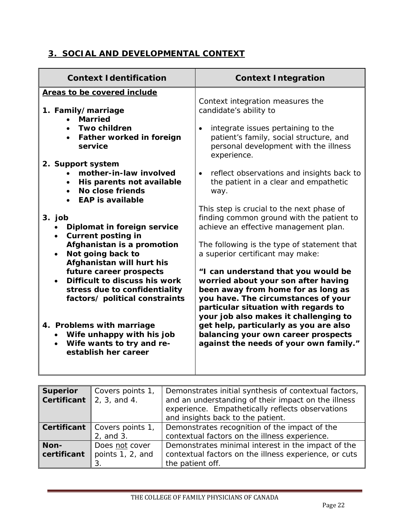## **3. SOCIAL AND DEVELOPMENTAL CONTEXT**

| <b>Context Identification</b>                                                                                                                                                                                                                  | <b>Context Integration</b>                                                                                                                                                                                                                                                                                                                                          |
|------------------------------------------------------------------------------------------------------------------------------------------------------------------------------------------------------------------------------------------------|---------------------------------------------------------------------------------------------------------------------------------------------------------------------------------------------------------------------------------------------------------------------------------------------------------------------------------------------------------------------|
| Areas to be covered include                                                                                                                                                                                                                    |                                                                                                                                                                                                                                                                                                                                                                     |
| 1. Family/marriage<br><b>Married</b>                                                                                                                                                                                                           | Context integration measures the<br>candidate's ability to                                                                                                                                                                                                                                                                                                          |
| <b>Two children</b><br>Father worked in foreign<br>service                                                                                                                                                                                     | integrate issues pertaining to the<br>$\bullet$<br>patient's family, social structure, and<br>personal development with the illness<br>experience.                                                                                                                                                                                                                  |
| 2. Support system<br>mother-in-law involved<br>His parents not available<br>$\bullet$<br>No close friends<br>$\bullet$<br><b>EAP is available</b><br>$\bullet$                                                                                 | reflect observations and insights back to<br>$\bullet$<br>the patient in a clear and empathetic<br>way.                                                                                                                                                                                                                                                             |
| 3. job<br>Diplomat in foreign service<br><b>Current posting in</b><br>$\bullet$                                                                                                                                                                | This step is crucial to the next phase of<br>finding common ground with the patient to<br>achieve an effective management plan.                                                                                                                                                                                                                                     |
| Afghanistan is a promotion<br>Not going back to<br>$\bullet$<br>Afghanistan will hurt his                                                                                                                                                      | The following is the type of statement that<br>a superior certificant may make:                                                                                                                                                                                                                                                                                     |
| future career prospects<br>Difficult to discuss his work<br>stress due to confidentiality<br>factors/ political constraints<br>4. Problems with marriage<br>• Wife unhappy with his job<br>• Wife wants to try and re-<br>establish her career | "I can understand that you would be<br>worried about your son after having<br>been away from home for as long as<br>you have. The circumstances of your<br>particular situation with regards to<br>your job also makes it challenging to<br>get help, particularly as you are also<br>balancing your own career prospects<br>against the needs of your own family." |

| <b>Superior</b><br><b>Certificant</b> | Covers points 1,<br>  2, 3, and 4. | Demonstrates initial synthesis of contextual factors,<br>and an understanding of their impact on the illness<br>experience. Empathetically reflects observations<br>and insights back to the patient. |
|---------------------------------------|------------------------------------|-------------------------------------------------------------------------------------------------------------------------------------------------------------------------------------------------------|
| Certificant                           | Covers points 1,<br>2, and 3.      | Demonstrates recognition of the impact of the<br>contextual factors on the illness experience.                                                                                                        |
| Non-<br>certificant                   | Does not cover<br>points 1, 2, and | Demonstrates minimal interest in the impact of the<br>contextual factors on the illness experience, or cuts<br>the patient off.                                                                       |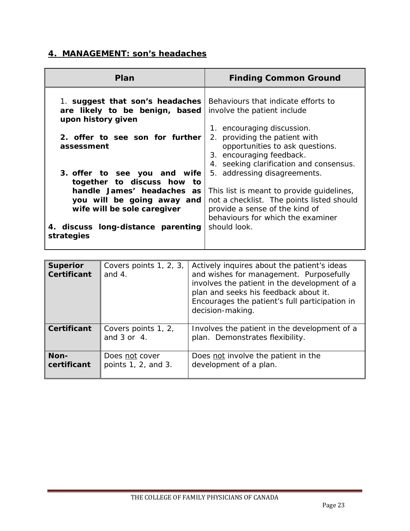# **4. MANAGEMENT: son's headaches**

| Plan                                                                                                                                                                                        | <b>Finding Common Ground</b>                                                                                                                                                                                  |
|---------------------------------------------------------------------------------------------------------------------------------------------------------------------------------------------|---------------------------------------------------------------------------------------------------------------------------------------------------------------------------------------------------------------|
| 1. suggest that son's headaches<br>are likely to be benign, based<br>upon history given                                                                                                     | Behaviours that indicate efforts to<br>involve the patient include<br>1. encouraging discussion.                                                                                                              |
| 2. offer to see son for further<br>assessment                                                                                                                                               | 2. providing the patient with<br>opportunities to ask questions.<br>3. encouraging feedback.<br>4. seeking clarification and consensus.                                                                       |
| 3. offer to see you and wife<br>together to discuss how to<br>handle James' headaches as<br>you will be going away and<br>wife will be sole caregiver<br>4. discuss long-distance parenting | 5. addressing disagreements.<br>This list is meant to provide guidelines,<br>not a checklist. The points listed should<br>provide a sense of the kind of<br>behaviours for which the examiner<br>should look. |
| strategies                                                                                                                                                                                  |                                                                                                                                                                                                               |

| <b>Superior</b><br><b>Certificant</b> | Covers points 1, 2, 3,<br>and $4.$        | Actively inquires about the patient's ideas<br>and wishes for management. Purposefully<br>involves the patient in the development of a<br>plan and seeks his feedback about it.<br>Encourages the patient's full participation in<br>decision-making. |
|---------------------------------------|-------------------------------------------|-------------------------------------------------------------------------------------------------------------------------------------------------------------------------------------------------------------------------------------------------------|
| <b>Certificant</b>                    | Covers points 1, 2,<br>and $3$ or $4$ .   | Involves the patient in the development of a<br>plan. Demonstrates flexibility.                                                                                                                                                                       |
| Non-<br>certificant                   | Does not cover<br>points $1, 2,$ and $3.$ | Does not involve the patient in the<br>development of a plan.                                                                                                                                                                                         |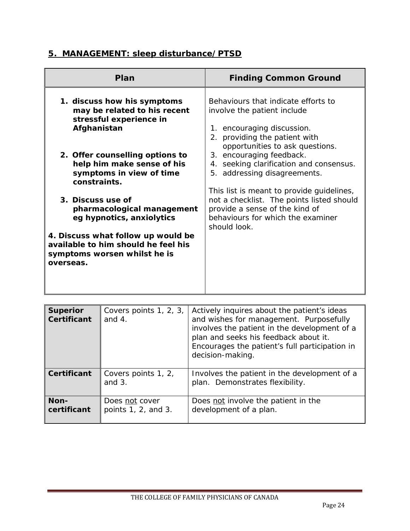# **5. MANAGEMENT: sleep disturbance/PTSD**

| Plan                                                                                                                   | <b>Finding Common Ground</b>                                                                                                                                                  |
|------------------------------------------------------------------------------------------------------------------------|-------------------------------------------------------------------------------------------------------------------------------------------------------------------------------|
| 1. discuss how his symptoms<br>may be related to his recent<br>stressful experience in<br>Afghanistan                  | Behaviours that indicate efforts to<br>involve the patient include<br>1. encouraging discussion.<br>providing the patient with<br>2.<br>opportunities to ask questions.       |
| 2. Offer counselling options to<br>help him make sense of his<br>symptoms in view of time<br>constraints.              | 3. encouraging feedback.<br>seeking clarification and consensus.<br>4.<br>5. addressing disagreements.                                                                        |
| 3. Discuss use of<br>pharmacological management<br>eg hypnotics, anxiolytics                                           | This list is meant to provide guidelines,<br>not a checklist. The points listed should<br>provide a sense of the kind of<br>behaviours for which the examiner<br>should look. |
| 4. Discuss what follow up would be<br>available to him should he feel his<br>symptoms worsen whilst he is<br>overseas. |                                                                                                                                                                               |

| <b>Superior</b><br><b>Certificant</b> | Covers points 1, 2, 3,<br>and $4.$    | Actively inquires about the patient's ideas<br>and wishes for management. Purposefully<br>involves the patient in the development of a<br>plan and seeks his feedback about it.<br>Encourages the patient's full participation in<br>decision-making. |
|---------------------------------------|---------------------------------------|-------------------------------------------------------------------------------------------------------------------------------------------------------------------------------------------------------------------------------------------------------|
| <b>Certificant</b>                    | Covers points 1, 2,<br>and $3$ .      | Involves the patient in the development of a<br>plan. Demonstrates flexibility.                                                                                                                                                                       |
| Non-<br>certificant                   | Does not cover<br>points 1, 2, and 3. | Does not involve the patient in the<br>development of a plan.                                                                                                                                                                                         |